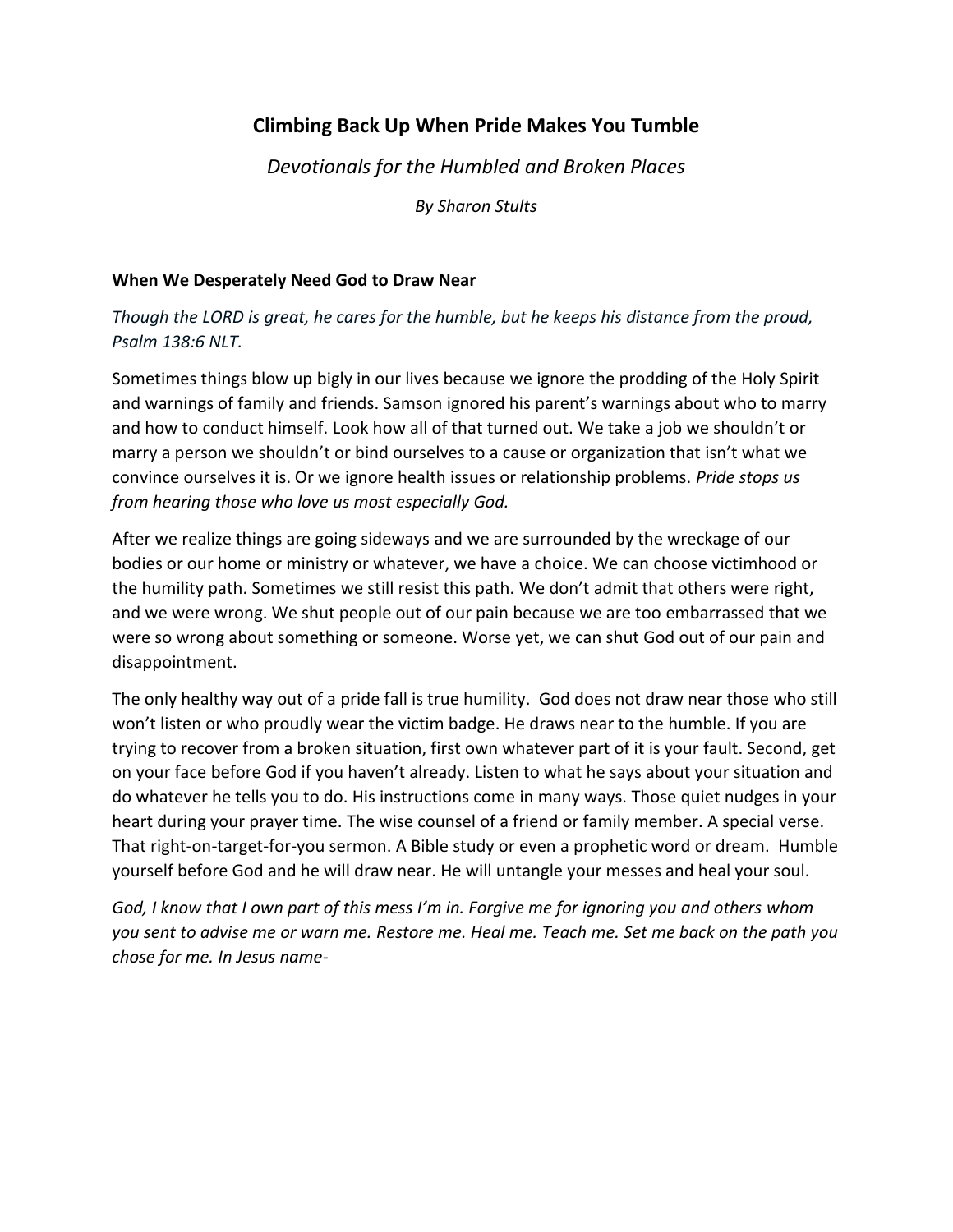# **Climbing Back Up When Pride Makes You Tumble**

*Devotionals for the Humbled and Broken Places*

*By Sharon Stults*

### **When We Desperately Need God to Draw Near**

*Though the LORD is great, he cares for the humble, but he keeps his distance from the proud, Psalm 138:6 NLT.*

Sometimes things blow up bigly in our lives because we ignore the prodding of the Holy Spirit and warnings of family and friends. Samson ignored his parent's warnings about who to marry and how to conduct himself. Look how all of that turned out. We take a job we shouldn't or marry a person we shouldn't or bind ourselves to a cause or organization that isn't what we convince ourselves it is. Or we ignore health issues or relationship problems. *Pride stops us from hearing those who love us most especially God.*

After we realize things are going sideways and we are surrounded by the wreckage of our bodies or our home or ministry or whatever, we have a choice. We can choose victimhood or the humility path. Sometimes we still resist this path. We don't admit that others were right, and we were wrong. We shut people out of our pain because we are too embarrassed that we were so wrong about something or someone. Worse yet, we can shut God out of our pain and disappointment.

The only healthy way out of a pride fall is true humility. God does not draw near those who still won't listen or who proudly wear the victim badge. He draws near to the humble. If you are trying to recover from a broken situation, first own whatever part of it is your fault. Second, get on your face before God if you haven't already. Listen to what he says about your situation and do whatever he tells you to do. His instructions come in many ways. Those quiet nudges in your heart during your prayer time. The wise counsel of a friend or family member. A special verse. That right-on-target-for-you sermon. A Bible study or even a prophetic word or dream. Humble yourself before God and he will draw near. He will untangle your messes and heal your soul.

*God, I know that I own part of this mess I'm in. Forgive me for ignoring you and others whom you sent to advise me or warn me. Restore me. Heal me. Teach me. Set me back on the path you chose for me. In Jesus name-*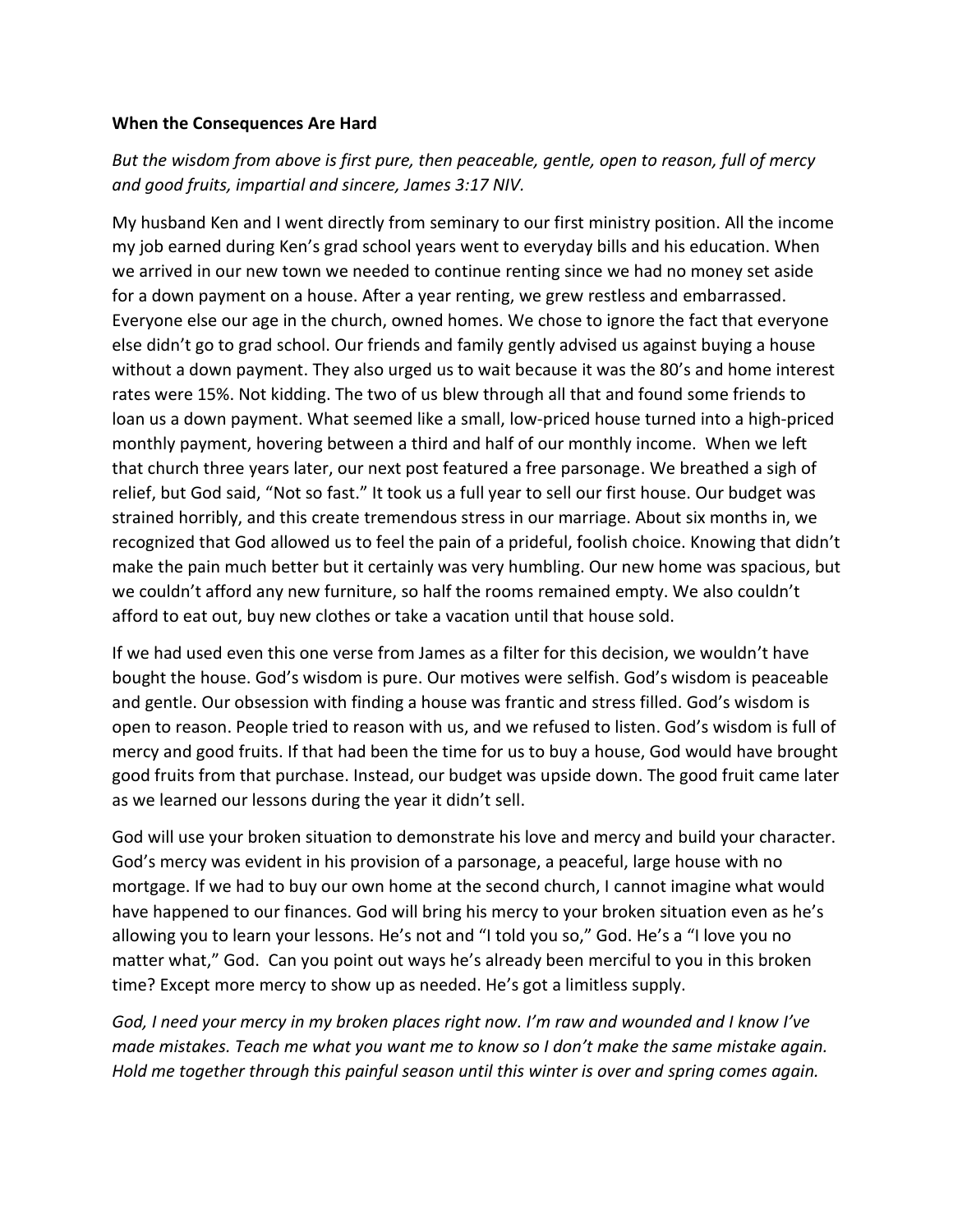#### **When the Consequences Are Hard**

# *But the wisdom from above is first pure, then peaceable, gentle, open to reason, full of mercy and good fruits, impartial and sincere, James 3:17 NIV.*

My husband Ken and I went directly from seminary to our first ministry position. All the income my job earned during Ken's grad school years went to everyday bills and his education. When we arrived in our new town we needed to continue renting since we had no money set aside for a down payment on a house. After a year renting, we grew restless and embarrassed. Everyone else our age in the church, owned homes. We chose to ignore the fact that everyone else didn't go to grad school. Our friends and family gently advised us against buying a house without a down payment. They also urged us to wait because it was the 80's and home interest rates were 15%. Not kidding. The two of us blew through all that and found some friends to loan us a down payment. What seemed like a small, low-priced house turned into a high-priced monthly payment, hovering between a third and half of our monthly income. When we left that church three years later, our next post featured a free parsonage. We breathed a sigh of relief, but God said, "Not so fast." It took us a full year to sell our first house. Our budget was strained horribly, and this create tremendous stress in our marriage. About six months in, we recognized that God allowed us to feel the pain of a prideful, foolish choice. Knowing that didn't make the pain much better but it certainly was very humbling. Our new home was spacious, but we couldn't afford any new furniture, so half the rooms remained empty. We also couldn't afford to eat out, buy new clothes or take a vacation until that house sold.

If we had used even this one verse from James as a filter for this decision, we wouldn't have bought the house. God's wisdom is pure. Our motives were selfish. God's wisdom is peaceable and gentle. Our obsession with finding a house was frantic and stress filled. God's wisdom is open to reason. People tried to reason with us, and we refused to listen. God's wisdom is full of mercy and good fruits. If that had been the time for us to buy a house, God would have brought good fruits from that purchase. Instead, our budget was upside down. The good fruit came later as we learned our lessons during the year it didn't sell.

God will use your broken situation to demonstrate his love and mercy and build your character. God's mercy was evident in his provision of a parsonage, a peaceful, large house with no mortgage. If we had to buy our own home at the second church, I cannot imagine what would have happened to our finances. God will bring his mercy to your broken situation even as he's allowing you to learn your lessons. He's not and "I told you so," God. He's a "I love you no matter what," God. Can you point out ways he's already been merciful to you in this broken time? Except more mercy to show up as needed. He's got a limitless supply.

*God, I need your mercy in my broken places right now. I'm raw and wounded and I know I've made mistakes. Teach me what you want me to know so I don't make the same mistake again. Hold me together through this painful season until this winter is over and spring comes again.*